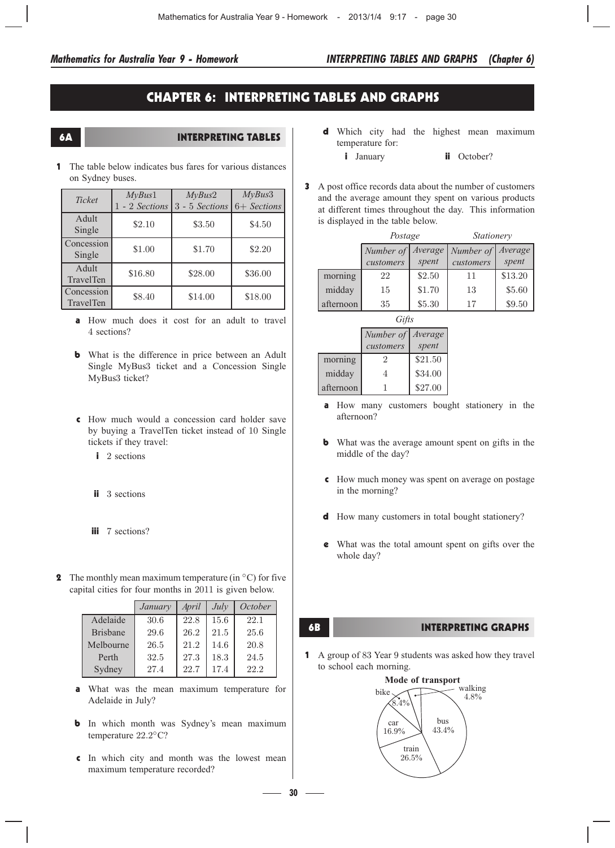# CHAPTER 6: INTERPRETING TABLES AND GRAPHS

## 6A INTERPRETING TABLES

1 The table below indicates bus fares for various distances on Sydney buses.

| <b>Ticket</b>           | MyBus1<br>1 - 2 Sections | MyBus2<br>3 - 5 Sections | MyBus3<br>6+ Sections |
|-------------------------|--------------------------|--------------------------|-----------------------|
| Adult<br>Single         | \$2.10                   | \$3.50                   | \$4.50                |
| Concession<br>Single    | \$1.00                   | \$1.70                   | \$2.20                |
| Adult<br>TravelTen      | \$16.80                  | \$28.00                  | \$36.00               |
| Concession<br>TravelTen | \$8.40                   | \$14.00                  | \$18.00               |

- a How much does it cost for an adult to travel 4 sections?
- **b** What is the difference in price between an Adult Single MyBus3 ticket and a Concession Single MyBus3 ticket?
- c How much would a concession card holder save by buying a TravelTen ticket instead of 10 Single tickets if they travel:
	- i 2 sections
	- ii 3 sections
	- **iii** 7 sections?
- **2** The monthly mean maximum temperature (in  $^{\circ}$ C) for five capital cities for four months in 2011 is given below.

|                 | January | April | July | October |
|-----------------|---------|-------|------|---------|
| Adelaide        | 30.6    | 22.8  | 15.6 | 22.1    |
| <b>Brisbane</b> | 29.6    | 26.2  | 21.5 | 25.6    |
| Melbourne       | 26.5    | 21.2  | 14.6 | 20.8    |
| Perth           | 32.5    | 27.3  | 18.3 | 24.5    |
| Sydney          | 27.4    | 22.7  | 17.4 | 22.2    |

- a What was the mean maximum temperature for Adelaide in July?
- **b** In which month was Sydney's mean maximum temperature  $22.2^{\circ}$ C?
- c In which city and month was the lowest mean maximum temperature recorded?
- d Which city had the highest mean maximum temperature for:
	- i January **ii** October?
- 3 A post office records data about the number of customers and the average amount they spent on various products at different times throughout the day. This information is displayed in the table below.

|           | Postage   |         | <i>Stationery</i> |         |  |  |
|-----------|-----------|---------|-------------------|---------|--|--|
|           | Number of | Average | Number of         | Average |  |  |
|           | customers | spent   | customers         | spent   |  |  |
| morning   | 22        | \$2.50  | 11                | \$13.20 |  |  |
| midday    | 15        | \$1.70  | 13                | \$5.60  |  |  |
| afternoon | 35        | \$5.30  | 17                | \$9.50  |  |  |

|           | Gifts     |         |  |  |  |  |  |
|-----------|-----------|---------|--|--|--|--|--|
|           | Number of | Average |  |  |  |  |  |
|           | customers | spent   |  |  |  |  |  |
| morning   | 2         | \$21.50 |  |  |  |  |  |
| midday    | 4         | \$34.00 |  |  |  |  |  |
| afternoon |           | \$27.00 |  |  |  |  |  |

- a How many customers bought stationery in the afternoon?
- **b** What was the average amount spent on gifts in the middle of the day?
- c How much money was spent on average on postage in the morning?
- d How many customers in total bought stationery?
- e What was the total amount spent on gifts over the whole day?

**30**1

# 6B INTERPRETING GRAPHS

1 A group of 83 Year 9 students was asked how they travel to school each morning.

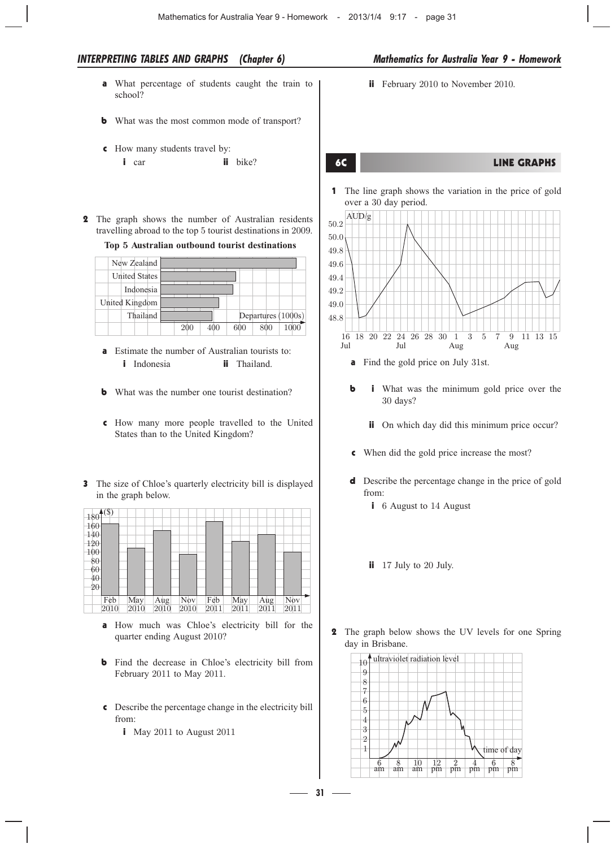- a What percentage of students caught the train to school?
- **b** What was the most common mode of transport?
- c How many students travel by:
	- i car ii bike?
- 2 The graph shows the number of Australian residents travelling abroad to the top 5 tourist destinations in 2009.

**Top** 5 **Australian outbound tourist destinations**

|  | New Zealand          |  |  |  |     |  |                    |  |
|--|----------------------|--|--|--|-----|--|--------------------|--|
|  | <b>United States</b> |  |  |  |     |  |                    |  |
|  | Indonesia            |  |  |  |     |  |                    |  |
|  | United Kingdom       |  |  |  |     |  |                    |  |
|  | Thailand             |  |  |  |     |  | Departures (1000s) |  |
|  |                      |  |  |  | 600 |  |                    |  |

- **a** Estimate the number of Australian tourists to: **i** Indonesia **ii** Thailand.
- **b** What was the number one tourist destination?
- c How many more people travelled to the United States than to the United Kingdom?
- 3 The size of Chloe's quarterly electricity bill is displayed in the graph below.

| $-180^{(8)}$    |      |      |      |      |      |      |      |
|-----------------|------|------|------|------|------|------|------|
| 160             |      |      |      |      |      |      |      |
| 140             |      |      |      |      |      |      |      |
| 120             |      |      |      |      |      |      |      |
| 100             |      |      |      |      |      |      |      |
| $\frac{80}{60}$ |      |      |      |      |      |      |      |
| $\frac{40}{20}$ |      |      |      |      |      |      |      |
|                 |      |      |      |      |      |      |      |
| Feb             | May  | Aug  | Nov  | Feb  | May  | Aug  | Nov  |
| 2010            | 2010 | 2010 | 2010 | 2011 | 2011 | 2011 | 2011 |

- a How much was Chloe's electricity bill for the quarter ending August 2010?
- **b** Find the decrease in Chloe's electricity bill from February 2011 to May 2011.
- c Describe the percentage change in the electricity bill from:

**31**1

i May 2011 to August 2011

**ii** February 2010 to November 2010.

### 6C LINE GRAPHS

1 The line graph shows the variation in the price of gold over a 30 day period.



- a Find the gold price on July 31st.
- **b** i What was the minimum gold price over the 30 days?
	- ii On which day did this minimum price occur?
- c When did the gold price increase the most?
- d Describe the percentage change in the price of gold from:
	- **i** 6 August to 14 August
	- ii 17 July to 20 July.
- 2 The graph below shows the UV levels for one Spring day in Brisbane.

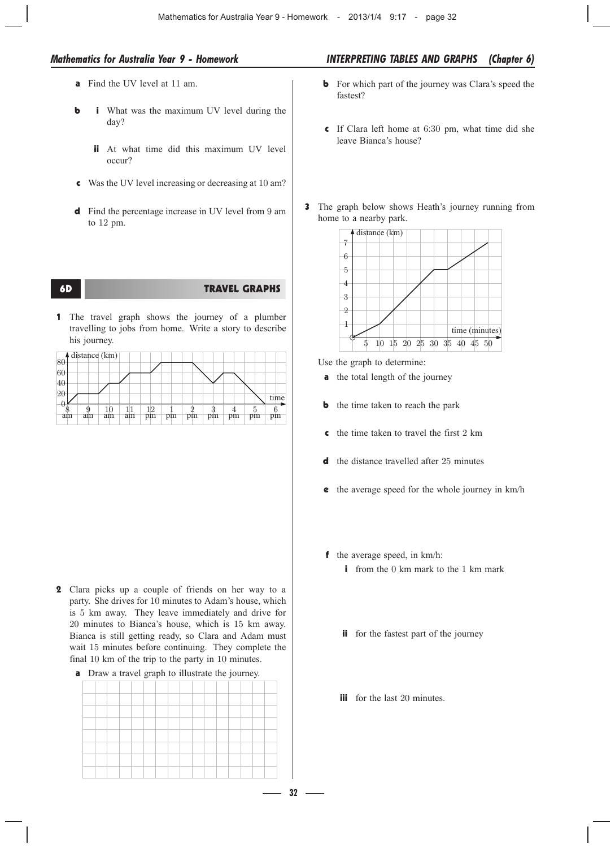- a Find the UV level at 11 am.
- **b** i What was the maximum UV level during the day?
	- ii At what time did this maximum UV level occur?
- c Was the UV level increasing or decreasing at 10 am?
- d Find the percentage increase in UV level from 9 am to 12 pm.

# **TRAVEL GRAPHS**

1 The travel graph shows the journey of a plumber travelling to jobs from home. Write a story to describe his journey.

|          |    | $\triangle$ distance (km) |    |    |    |    |    |    |    |      |
|----------|----|---------------------------|----|----|----|----|----|----|----|------|
| 80<br>60 |    |                           |    |    |    |    |    |    |    |      |
| 40       |    |                           |    |    |    |    |    |    |    |      |
| 20       |    |                           |    |    |    |    |    |    |    |      |
|          |    |                           |    |    |    |    |    |    |    | time |
|          |    |                           |    | 12 |    |    |    |    |    |      |
| am       | am | am                        | am | pm | pm | pm | pm | pm | pm | pm   |

- 2 Clara picks up a couple of friends on her way to a party. She drives for 10 minutes to Adam's house, which is 5 km away. They leave immediately and drive for 20 minutes to Bianca's house, which is 15 km away. Bianca is still getting ready, so Clara and Adam must wait 15 minutes before continuing. They complete the final 10 km of the trip to the party in 10 minutes.
	- **a** Draw a travel graph to illustrate the journey.

# *Mathematics for Australia Year 9 - Homework INTERPRETING TABLES AND GRAPHS (Chapter 6)*

- **b** For which part of the journey was Clara's speed the fastest?
- c If Clara left home at 6:30 pm, what time did she leave Bianca's house?
- 3 The graph below shows Heath's journey running from home to a nearby park.



Use the graph to determine:

- **a** the total length of the journey
- **b** the time taken to reach the park
- c the time taken to travel the first 2 km
- d the distance travelled after 25 minutes
- e the average speed for the whole journey in km/h
- f the average speed, in km/h: i from the 0 km mark to the 1 km mark
	- ii for the fastest part of the journey
	- **iii** for the last 20 minutes.

**32**1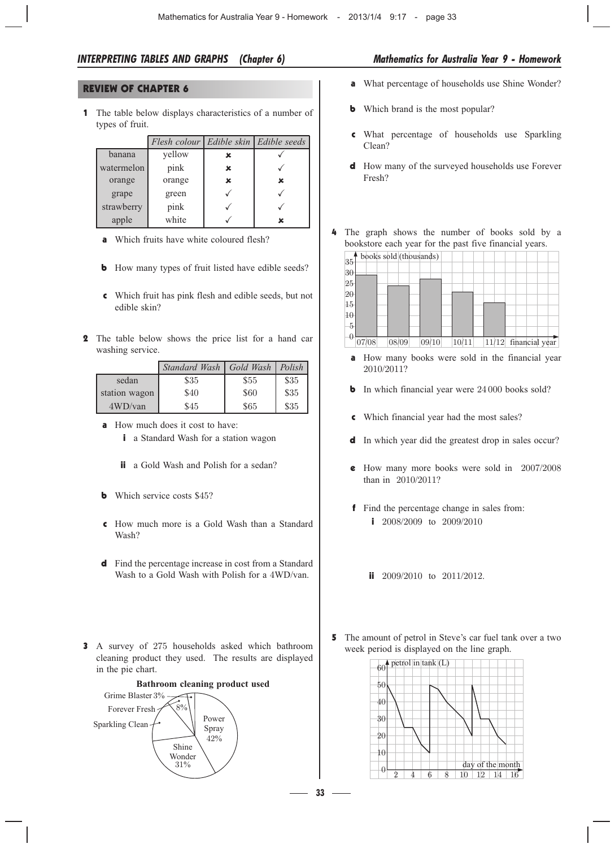# REVIEW OF CHAPTER 6

1 The table below displays characteristics of a number of types of fruit.

|            | Flesh colour   Edible skin   Edible seeds |   |   |
|------------|-------------------------------------------|---|---|
| banana     | yellow                                    | x |   |
| watermelon | pink                                      | × |   |
| orange     | orange                                    | x | x |
| grape      | green                                     |   |   |
| strawberry | pink                                      |   |   |
| apple      | white                                     |   | x |

- a Which fruits have white coloured flesh?
- **b** How many types of fruit listed have edible seeds?
- c Which fruit has pink flesh and edible seeds, but not edible skin?
- 2 The table below shows the price list for a hand car washing service.

|               | Standard Wash   Gold Wash   Polish |      |      |
|---------------|------------------------------------|------|------|
| sedan         | \$35                               | \$55 | \$35 |
| station wagon | \$40                               | \$60 | \$35 |
| 4WD/van       | \$45                               | \$65 | \$35 |

- a How much does it cost to have:
	- i a Standard Wash for a station wagon
	- ii a Gold Wash and Polish for a sedan?
- **b** Which service costs \$45?
- c How much more is a Gold Wash than a Standard Wash?
- d Find the percentage increase in cost from a Standard Wash to a Gold Wash with Polish for a 4WD/van.
- 3 A survey of 275 households asked which bathroom cleaning product they used. The results are displayed in the pie chart.



- a What percentage of households use Shine Wonder?
- **b** Which brand is the most popular?
- c What percentage of households use Sparkling Clean?
- d How many of the surveyed households use Forever Fresh?
- 4 The graph shows the number of books sold by a bookstore each year for the past five financial years.



- a How many books were sold in the financial year 2010/2011?
- **b** In which financial year were 24 000 books sold?
- c Which financial year had the most sales?
- d In which year did the greatest drop in sales occur?
- e How many more books were sold in 2007/2008 than in 2010/2011?
- f Find the percentage change in sales from: **i** 2008/2009 to 2009/2010
	- **ii** 2009/2010 to 2011/2012.
- 5 The amount of petrol in Steve's car fuel tank over a two week period is displayed on the line graph.



**33**1